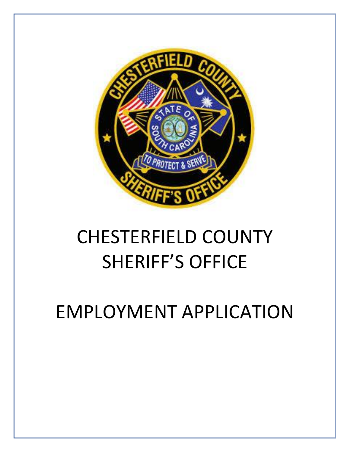

# CHESTERFIELD COUNTY SHERIFF'S OFFICE

EMPLOYMENT APPLICATION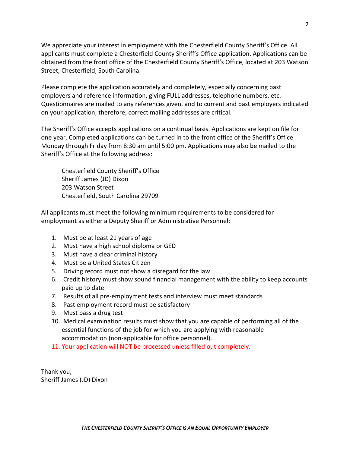We appreciate your interest in employment with the Chesterfield County Sheriff's Office. All applicants must complete a Chesterfield County Sheriff's Office application. Applications can be obtained from the front office of the Chesterfield County Sheriff's Office, located at 203 Watson Street, Chesterfield, South Carolina.

Please complete the application accurately and completely, especially concerning past employers and reference information, giving FULL addresses, telephone numbers, etc. Questionnaires are mailed to any references given, and to current and past employers indicated on your application; therefore, correct mailing addresses are critical.

The Sheriff's Office accepts applications on a continual basis. Applications are kept on file for one year. Completed applications can be turned in to the front office of the Sheriff's Office Monday through Friday from 8:30 am until 5:00 pm. Applications may also be mailed to the Sheriff's Office at the following address:

Chesterfield County Sheriff's Office Sheriff James (JD) Dixon 203 Watson Street Chesterfield, South Carolina 29709

All applicants must meet the following minimum requirements to be considered for employment as either a Deputy Sheriff or Administrative Personnel:

- 1. Must be at least 21 years of age
- 2. Must have a high school diploma or GED
- 3. Must have a clear criminal history
- 4. Must be a United States Citizen
- 5. Driving record must not show a disregard for the law
- 6. Credit history must show sound financial management with the ability to keep accounts paid up to date
- 7. Results of all pre-employment tests and interview must meet standards
- 8. Past employment record must be satisfactory
- 9. Must pass a drug test
- 10. Medical examination results must show that you are capable of performing all of the essential functions of the job for which you are applying with reasonable accommodation (non-applicable for office personnel).
- 11. Your application will NOT be processed unless filled out completely.

Thank you, Sheriff James (JD) Dixon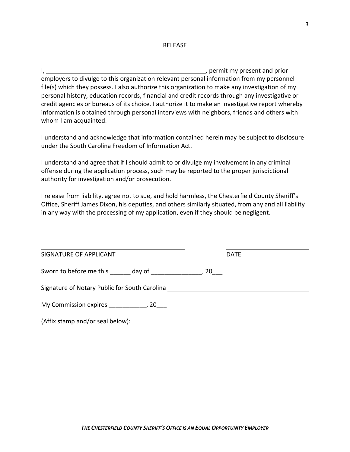#### RELEASE

I,  $\frac{1}{2}$  , permit my present and prior employers to divulge to this organization relevant personal information from my personnel file(s) which they possess. I also authorize this organization to make any investigation of my personal history, education records, financial and credit records through any investigative or credit agencies or bureaus of its choice. I authorize it to make an investigative report whereby information is obtained through personal interviews with neighbors, friends and others with whom I am acquainted.

I understand and acknowledge that information contained herein may be subject to disclosure under the South Carolina Freedom of Information Act.

I understand and agree that if I should admit to or divulge my involvement in any criminal offense during the application process, such may be reported to the proper jurisdictional authority for investigation and/or prosecution.

I release from liability, agree not to sue, and hold harmless, the Chesterfield County Sheriff's Office, Sheriff James Dixon, his deputies, and others similarly situated, from any and all liability in any way with the processing of my application, even if they should be negligent.

| SIGNATURE OF APPLICANT                                                                                          | <b>DATE</b> |  |
|-----------------------------------------------------------------------------------------------------------------|-------------|--|
| Sworn to before me this day of the control of the control of the control of the control of the control of the c |             |  |
| Signature of Notary Public for South Carolina                                                                   |             |  |
| My Commission expires the many commission of the many commission expires the many commission of the many commis |             |  |
| (Affix stamp and/or seal below):                                                                                |             |  |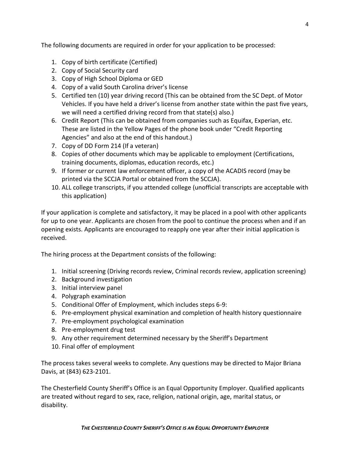The following documents are required in order for your application to be processed:

- 1. Copy of birth certificate (Certified)
- 2. Copy of Social Security card
- 3. Copy of High School Diploma or GED
- 4. Copy of a valid South Carolina driver's license
- 5. Certified ten (10) year driving record (This can be obtained from the SC Dept. of Motor Vehicles. If you have held a driver's license from another state within the past five years, we will need a certified driving record from that state(s) also.)
- 6. Credit Report (This can be obtained from companies such as Equifax, Experian, etc. These are listed in the Yellow Pages of the phone book under "Credit Reporting Agencies" and also at the end of this handout.)
- 7. Copy of DD Form 214 (If a veteran)
- 8. Copies of other documents which may be applicable to employment (Certifications, training documents, diplomas, education records, etc.)
- 9. If former or current law enforcement officer, a copy of the ACADIS record (may be printed via the SCCJA Portal or obtained from the SCCJA).
- 10. ALL college transcripts, if you attended college (unofficial transcripts are acceptable with this application)

If your application is complete and satisfactory, it may be placed in a pool with other applicants for up to one year. Applicants are chosen from the pool to continue the process when and if an opening exists. Applicants are encouraged to reapply one year after their initial application is received.

The hiring process at the Department consists of the following:

- 1. Initial screening (Driving records review, Criminal records review, application screening)
- 2. Background investigation
- 3. Initial interview panel
- 4. Polygraph examination
- 5. Conditional Offer of Employment, which includes steps 6-9:
- 6. Pre-employment physical examination and completion of health history questionnaire
- 7. Pre-employment psychological examination
- 8. Pre-employment drug test
- 9. Any other requirement determined necessary by the Sheriff's Department
- 10. Final offer of employment

The process takes several weeks to complete. Any questions may be directed to Major Briana Davis, at (843) 623-2101.

The Chesterfield County Sheriff's Office is an Equal Opportunity Employer. Qualified applicants are treated without regard to sex, race, religion, national origin, age, marital status, or disability.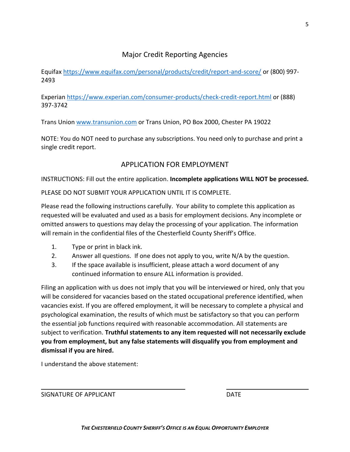# Major Credit Reporting Agencies

Equifax<https://www.equifax.com/personal/products/credit/report-and-score/> or (800) 997- 2493

Experian<https://www.experian.com/consumer-products/check-credit-report.html> or (888) 397-3742

Trans Union [www.transunion.com](http://www.transunion.com/) or Trans Union, PO Box 2000, Chester PA 19022

NOTE: You do NOT need to purchase any subscriptions. You need only to purchase and print a single credit report.

# APPLICATION FOR EMPLOYMENT

INSTRUCTIONS: Fill out the entire application. **Incomplete applications WILL NOT be processed.**

PLEASE DO NOT SUBMIT YOUR APPLICATION UNTIL IT IS COMPLETE.

Please read the following instructions carefully. Your ability to complete this application as requested will be evaluated and used as a basis for employment decisions. Any incomplete or omitted answers to questions may delay the processing of your application. The information will remain in the confidential files of the Chesterfield County Sheriff's Office.

- 1. Type or print in black ink.
- 2. Answer all questions. If one does not apply to you, write N/A by the question.
- 3. If the space available is insufficient, please attach a word document of any continued information to ensure ALL information is provided.

Filing an application with us does not imply that you will be interviewed or hired, only that you will be considered for vacancies based on the stated occupational preference identified, when vacancies exist. If you are offered employment, it will be necessary to complete a physical and psychological examination, the results of which must be satisfactory so that you can perform the essential job functions required with reasonable accommodation. All statements are subject to verification. **Truthful statements to any item requested will not necessarily exclude you from employment, but any false statements will disqualify you from employment and dismissal if you are hired.**

I understand the above statement:

SIGNATURE OF APPLICANT **Example 20** and the contract of the contract of the contract of the contract of the contra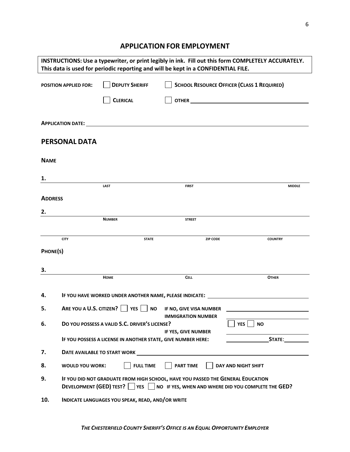# **APPLICATION FOR EMPLOYMENT**

| INSTRUCTIONS: Use a typewriter, or print legibly in ink. Fill out this form COMPLETELY ACCURATELY.<br>This data is used for periodic reporting and will be kept in a CONFIDENTIAL FILE. |                              |                                                                                                                                                                    |                           |                                                   |                   |  |
|-----------------------------------------------------------------------------------------------------------------------------------------------------------------------------------------|------------------------------|--------------------------------------------------------------------------------------------------------------------------------------------------------------------|---------------------------|---------------------------------------------------|-------------------|--|
|                                                                                                                                                                                         | <b>POSITION APPLIED FOR:</b> | <b>DEPUTY SHERIFF</b>                                                                                                                                              |                           | <b>SCHOOL RESOURCE OFFICER (CLASS 1 REQUIRED)</b> |                   |  |
|                                                                                                                                                                                         |                              | <b>CLERICAL</b>                                                                                                                                                    |                           |                                                   |                   |  |
|                                                                                                                                                                                         |                              |                                                                                                                                                                    |                           |                                                   |                   |  |
|                                                                                                                                                                                         | <b>PERSONAL DATA</b>         |                                                                                                                                                                    |                           |                                                   |                   |  |
| <b>NAME</b>                                                                                                                                                                             |                              |                                                                                                                                                                    |                           |                                                   |                   |  |
| 1.                                                                                                                                                                                      |                              |                                                                                                                                                                    |                           |                                                   |                   |  |
|                                                                                                                                                                                         |                              | LAST                                                                                                                                                               | <b>FIRST</b>              |                                                   | <b>MIDDLE</b>     |  |
| <b>ADDRESS</b>                                                                                                                                                                          |                              |                                                                                                                                                                    |                           |                                                   |                   |  |
| 2.                                                                                                                                                                                      |                              |                                                                                                                                                                    |                           |                                                   |                   |  |
|                                                                                                                                                                                         |                              | <b>NUMBER</b>                                                                                                                                                      | <b>STREET</b>             |                                                   |                   |  |
|                                                                                                                                                                                         | <b>CITY</b>                  | <b>STATE</b>                                                                                                                                                       | <b>ZIP CODE</b>           | <b>COUNTRY</b>                                    |                   |  |
| PHONE(S)                                                                                                                                                                                |                              |                                                                                                                                                                    |                           |                                                   |                   |  |
|                                                                                                                                                                                         |                              |                                                                                                                                                                    |                           |                                                   |                   |  |
| 3.                                                                                                                                                                                      |                              |                                                                                                                                                                    |                           |                                                   |                   |  |
|                                                                                                                                                                                         |                              | <b>HOME</b>                                                                                                                                                        | <b>CELL</b>               | <b>OTHER</b>                                      |                   |  |
| 4.                                                                                                                                                                                      |                              | IF YOU HAVE WORKED UNDER ANOTHER NAME, PLEASE INDICATE: ________________________                                                                                   |                           |                                                   |                   |  |
| 5.                                                                                                                                                                                      | ARE YOU A U.S. CITIZEN?      | YES  <br><b>NO</b>                                                                                                                                                 | IF NO, GIVE VISA NUMBER   |                                                   |                   |  |
| 6.                                                                                                                                                                                      |                              | DO YOU POSSESS A VALID S.C. DRIVER'S LICENSE?                                                                                                                      | <b>IMMIGRATION NUMBER</b> | <b>YES</b><br><b>NO</b>                           |                   |  |
|                                                                                                                                                                                         |                              | IF YOU POSSESS A LICENSE IN ANOTHER STATE, GIVE NUMBER HERE:                                                                                                       | IF YES, GIVE NUMBER       |                                                   | STATE: THE STATE: |  |
| 7.                                                                                                                                                                                      |                              | DATE AVAILABLE TO START WORK <b>AND A CONSIDER A CONSIDERATION</b> CONTINUES.                                                                                      |                           |                                                   |                   |  |
| 8.                                                                                                                                                                                      | <b>WOULD YOU WORK:</b>       | <b>FULL TIME</b>                                                                                                                                                   | <b>PART TIME</b>          | DAY AND NIGHT SHIFT                               |                   |  |
| 9.                                                                                                                                                                                      |                              | IF YOU DID NOT GRADUATE FROM HIGH SCHOOL, HAVE YOU PASSED THE GENERAL EDUCATION<br>DEVELOPMENT (GED) TEST? VES NO IF YES, WHEN AND WHERE DID YOU COMPLETE THE GED? |                           |                                                   |                   |  |
| 10.                                                                                                                                                                                     |                              | INDICATE LANGUAGES YOU SPEAK, READ, AND/OR WRITE                                                                                                                   |                           |                                                   |                   |  |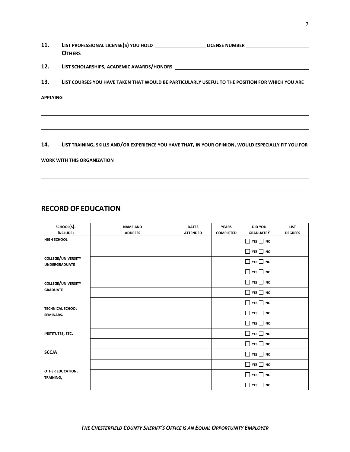| <b>11.</b> | LIST PROFESSIONAL LICENSE(S) YOU HOLD _______________________LICENSE NUMBER ________________________                                                                                                                                 |
|------------|--------------------------------------------------------------------------------------------------------------------------------------------------------------------------------------------------------------------------------------|
| 12.        |                                                                                                                                                                                                                                      |
| 13.        | LIST COURSES YOU HAVE TAKEN THAT WOULD BE PARTICULARLY USEFUL TO THE POSITION FOR WHICH YOU ARE                                                                                                                                      |
|            | APPLYING <u>Andreas and the contract of the contract of the contract of the contract of the contract of the contract of the contract of the contract of the contract of the contract of the contract of the contract of the cont</u> |
|            |                                                                                                                                                                                                                                      |
|            | 14. LIST TRAINING, SKILLS AND/OR EXPERIENCE YOU HAVE THAT, IN YOUR OPINION, WOULD ESPECIALLY FIT YOU FOR                                                                                                                             |
|            |                                                                                                                                                                                                                                      |
|            |                                                                                                                                                                                                                                      |

# **RECORD OF EDUCATION**

| SCHOOL(S).                                 | <b>NAME AND</b> | <b>DATES</b>    | <b>YEARS</b>     | <b>DID YOU</b>       | <b>LIST</b>    |
|--------------------------------------------|-----------------|-----------------|------------------|----------------------|----------------|
| <b>INCLUDE:</b>                            | <b>ADDRESS</b>  | <b>ATTENDED</b> | <b>COMPLETED</b> | <b>GRADUATE?</b>     | <b>DEGREES</b> |
| HIGH SCHOOL                                |                 |                 |                  | $\Box$ YES $\Box$ NO |                |
|                                            |                 |                 |                  | $\Box$ YES $\Box$ NO |                |
| COLLEGE/UNIVERSITY<br><b>UNDERGRADUATE</b> |                 |                 |                  | $\Box$ YES $\Box$ NO |                |
|                                            |                 |                 |                  | $\Box$ YES $\Box$ NO |                |
| COLLEGE/UNIVERSITY                         |                 |                 |                  | $\Box$ YES $\Box$ NO |                |
| <b>GRADUATE</b>                            |                 |                 |                  | $\Box$ YES $\Box$ NO |                |
|                                            |                 |                 |                  | $\Box$ YES $\Box$ NO |                |
| <b>TECHNICAL SCHOOL</b><br>SEMINARS.       |                 |                 |                  | $\Box$ YES $\Box$ NO |                |
|                                            |                 |                 |                  | $\Box$ YES $\Box$ NO |                |
| <b>INSTITUTES, ETC.</b>                    |                 |                 |                  | $\Box$ YES $\Box$ NO |                |
|                                            |                 |                 |                  | $\Box$ YES $\Box$ NO |                |
| <b>SCCJA</b>                               |                 |                 |                  | $\Box$ YES $\Box$ NO |                |
|                                            |                 |                 |                  | $\Box$ YES $\Box$ NO |                |
| <b>OTHER EDUCATION.</b><br>TRAINING,       |                 |                 |                  | $\Box$ YES $\Box$ NO |                |
|                                            |                 |                 |                  | $\Box$ YES $\Box$ NO |                |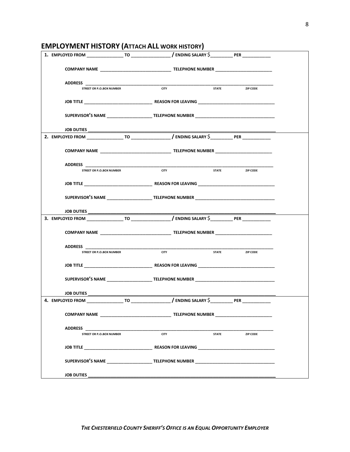| LIVII LOTIVILIVI TIIJTONT (ATTACITALE WOMNTIIJTONT) |             |              |                |                         |  |
|-----------------------------------------------------|-------------|--------------|----------------|-------------------------|--|
|                                                     |             |              |                |                         |  |
|                                                     |             |              |                |                         |  |
| <b>STREET OR P.O.BOX NUMBER</b>                     | <b>CITY</b> |              | STATE ZIP CODE |                         |  |
|                                                     |             |              |                |                         |  |
|                                                     |             |              |                |                         |  |
|                                                     |             |              |                |                         |  |
|                                                     |             |              |                |                         |  |
|                                                     |             |              |                |                         |  |
|                                                     |             |              |                |                         |  |
| STREET OR P.O.BOX NUMBER                            | <b>CITY</b> | <b>STATE</b> |                | <b>EXAMPLE 21P CODE</b> |  |
|                                                     |             |              |                |                         |  |
|                                                     |             |              |                |                         |  |
|                                                     |             |              |                |                         |  |
|                                                     |             |              |                |                         |  |
|                                                     |             |              |                |                         |  |
|                                                     |             |              |                |                         |  |
| STREET OR P.O.BOX NUMBER                            | <b>CITY</b> |              | STATE ZIP CODE |                         |  |
|                                                     |             |              |                |                         |  |
|                                                     |             |              |                |                         |  |
|                                                     |             |              |                |                         |  |
|                                                     |             |              |                |                         |  |
|                                                     |             |              |                |                         |  |
| <b>ADDRESS</b>                                      | <b>CITY</b> |              |                |                         |  |
| <b>STREET OR P.O.BOX NUMBER</b>                     |             | <b>STATE</b> |                | ZIP CODE                |  |
|                                                     |             |              |                |                         |  |
| SUPERVISOR'S NAME TELEPHONE NUMBER                  |             |              |                |                         |  |
| JOB DUTIES                                          |             |              |                |                         |  |

## **EMPLOYMENT HISTORY (ATTACH ALL WORK HISTORY)**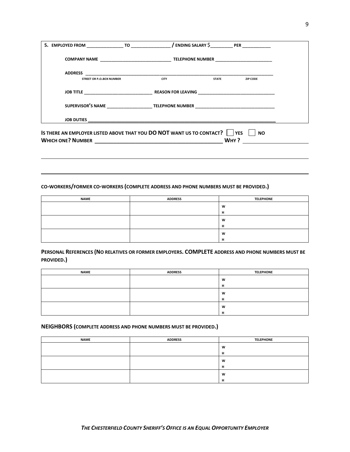| 5. EMPLOYED FROM TO TO                                                                               |             |              | / ENDING SALARY \$PER |  |
|------------------------------------------------------------------------------------------------------|-------------|--------------|-----------------------|--|
|                                                                                                      |             |              |                       |  |
| <b>ADDRESS</b>                                                                                       |             |              |                       |  |
| <b>STREET OR P.O.BOX NUMBER</b>                                                                      | <b>CITY</b> | <b>STATE</b> | <b>ZIP CODE</b>       |  |
|                                                                                                      |             |              |                       |  |
| SUPERVISOR'S NAME ______________________________TELEPHONE NUMBER ___________________________________ |             |              |                       |  |
|                                                                                                      |             |              |                       |  |
| IS THERE AN EMPLOYER LISTED ABOVE THAT YOU DO NOT WANT US TO CONTACT?     YES                        |             |              | <b>NO</b>             |  |
| <b>WHICH ONE? NUMBER</b>                                                                             |             | WHY?         |                       |  |

#### **CO-WORKERS/FORMER CO-WORKERS (COMPLETE ADDRESS AND PHONE NUMBERS MUST BE PROVIDED.)**

| <b>NAME</b> | <b>ADDRESS</b> | <b>TELEPHONE</b> |
|-------------|----------------|------------------|
|             |                | W                |
|             |                |                  |
|             |                | W                |
|             |                |                  |
|             |                | W                |
|             |                |                  |

#### **PERSONAL REFERENCES (NO RELATIVES OR FORMER EMPLOYERS. COMPLETE ADDRESS AND PHONE NUMBERS MUST BE PROVIDED.)**

| <b>NAME</b> | <b>ADDRESS</b> | <b>TELEPHONE</b> |
|-------------|----------------|------------------|
|             |                | W                |
|             |                |                  |
|             |                | W                |
|             |                | ш                |
|             |                | W                |
|             |                |                  |

#### **NEIGHBORS (COMPLETE ADDRESS AND PHONE NUMBERS MUST BE PROVIDED.)**

| <b>NAME</b> | <b>ADDRESS</b> | <b>TELEPHONE</b> |
|-------------|----------------|------------------|
|             |                | W                |
|             |                | л.<br>ш          |
|             |                | W                |
|             |                | -14<br>п         |
|             |                | W                |
|             |                | - 11<br>n        |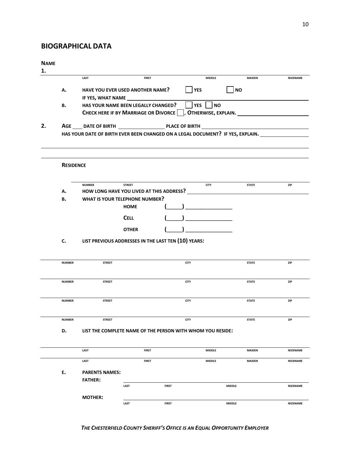## **BIOGRAPHICAL DATA**

#### **NAME**

#### **1.**

|               | LAST                                  | <b>FIRST</b>                      | <b>MIDDLE</b>                                                                                                                                               | <b>MAIDEN</b>                                                                                                                                                                                          | <b>NICKNAME</b>                                                                                                                                                                                    |
|---------------|---------------------------------------|-----------------------------------|-------------------------------------------------------------------------------------------------------------------------------------------------------------|--------------------------------------------------------------------------------------------------------------------------------------------------------------------------------------------------------|----------------------------------------------------------------------------------------------------------------------------------------------------------------------------------------------------|
|               |                                       |                                   |                                                                                                                                                             |                                                                                                                                                                                                        |                                                                                                                                                                                                    |
|               |                                       |                                   |                                                                                                                                                             |                                                                                                                                                                                                        |                                                                                                                                                                                                    |
|               |                                       |                                   |                                                                                                                                                             |                                                                                                                                                                                                        |                                                                                                                                                                                                    |
|               |                                       |                                   |                                                                                                                                                             |                                                                                                                                                                                                        |                                                                                                                                                                                                    |
|               |                                       |                                   |                                                                                                                                                             |                                                                                                                                                                                                        |                                                                                                                                                                                                    |
|               |                                       |                                   |                                                                                                                                                             |                                                                                                                                                                                                        |                                                                                                                                                                                                    |
|               |                                       |                                   |                                                                                                                                                             |                                                                                                                                                                                                        |                                                                                                                                                                                                    |
|               |                                       |                                   |                                                                                                                                                             |                                                                                                                                                                                                        |                                                                                                                                                                                                    |
|               |                                       |                                   |                                                                                                                                                             |                                                                                                                                                                                                        |                                                                                                                                                                                                    |
|               | <b>NUMBER</b>                         | <b>STREET</b>                     | <b>CITY</b>                                                                                                                                                 | <b>STATE</b>                                                                                                                                                                                           | ZIP                                                                                                                                                                                                |
| А.            |                                       |                                   |                                                                                                                                                             |                                                                                                                                                                                                        |                                                                                                                                                                                                    |
|               |                                       |                                   |                                                                                                                                                             |                                                                                                                                                                                                        |                                                                                                                                                                                                    |
|               |                                       |                                   |                                                                                                                                                             |                                                                                                                                                                                                        |                                                                                                                                                                                                    |
|               |                                       | <b>CELL</b>                       |                                                                                                                                                             |                                                                                                                                                                                                        |                                                                                                                                                                                                    |
|               |                                       | <b>OTHER</b>                      |                                                                                                                                                             |                                                                                                                                                                                                        |                                                                                                                                                                                                    |
|               |                                       |                                   |                                                                                                                                                             |                                                                                                                                                                                                        |                                                                                                                                                                                                    |
|               |                                       |                                   |                                                                                                                                                             |                                                                                                                                                                                                        |                                                                                                                                                                                                    |
|               |                                       |                                   |                                                                                                                                                             |                                                                                                                                                                                                        |                                                                                                                                                                                                    |
| <b>NUMBER</b> | <b>STREET</b>                         |                                   | <b>CITY</b>                                                                                                                                                 | <b>STATE</b>                                                                                                                                                                                           | ZIP                                                                                                                                                                                                |
|               |                                       |                                   |                                                                                                                                                             |                                                                                                                                                                                                        |                                                                                                                                                                                                    |
| <b>NUMBER</b> | <b>STREET</b>                         |                                   | <b>CITY</b>                                                                                                                                                 | <b>STATE</b>                                                                                                                                                                                           | ZIP                                                                                                                                                                                                |
|               |                                       |                                   |                                                                                                                                                             |                                                                                                                                                                                                        |                                                                                                                                                                                                    |
|               |                                       |                                   |                                                                                                                                                             |                                                                                                                                                                                                        |                                                                                                                                                                                                    |
|               |                                       |                                   |                                                                                                                                                             |                                                                                                                                                                                                        | ZIP                                                                                                                                                                                                |
|               |                                       |                                   |                                                                                                                                                             |                                                                                                                                                                                                        |                                                                                                                                                                                                    |
| <b>NUMBER</b> | <b>STREET</b>                         |                                   | <b>CITY</b>                                                                                                                                                 | <b>STATE</b>                                                                                                                                                                                           | ZIP                                                                                                                                                                                                |
| D.            |                                       |                                   |                                                                                                                                                             |                                                                                                                                                                                                        |                                                                                                                                                                                                    |
|               |                                       |                                   |                                                                                                                                                             |                                                                                                                                                                                                        |                                                                                                                                                                                                    |
|               | LAST                                  | <b>FIRST</b>                      | <b>MIDDLE</b>                                                                                                                                               | <b>MAIDEN</b>                                                                                                                                                                                          |                                                                                                                                                                                                    |
|               |                                       |                                   | <b>MIDDLE</b>                                                                                                                                               | <b>MAIDEN</b>                                                                                                                                                                                          | <b>NICKNAME</b>                                                                                                                                                                                    |
|               | LAST                                  | <b>FIRST</b>                      |                                                                                                                                                             |                                                                                                                                                                                                        | NICKNAME                                                                                                                                                                                           |
|               |                                       |                                   |                                                                                                                                                             |                                                                                                                                                                                                        |                                                                                                                                                                                                    |
| Ε.            | <b>PARENTS NAMES:</b>                 |                                   |                                                                                                                                                             |                                                                                                                                                                                                        |                                                                                                                                                                                                    |
|               | <b>FATHER:</b>                        | LAST<br><b>FIRST</b>              |                                                                                                                                                             | <b>MIDDLE</b>                                                                                                                                                                                          | <b>NICKNAME</b>                                                                                                                                                                                    |
|               | А.<br>в.<br>в.<br>c.<br><b>NUMBER</b> | <b>RESIDENCE</b><br><b>STREET</b> | <b>HAVE YOU EVER USED ANOTHER NAME?</b><br>IF YES, WHAT NAME<br>HAS YOUR NAME BEEN LEGALLY CHANGED?<br><b>WHAT IS YOUR TELEPHONE NUMBER?</b><br><b>HOME</b> | <b>YES</b><br><b>YES</b><br><b>NO</b><br><b>CHECK HERE IF BY MARRIAGE OR DIVORCE</b><br>HOW LONG HAVE YOU LIVED AT THIS ADDRESS?<br>LIST PREVIOUS ADDRESSES IN THE LAST TEN (10) YEARS:<br><b>CITY</b> | <b>NO</b><br>, OTHERWISE, EXPLAIN.<br>HAS YOUR DATE OF BIRTH EVER BEEN CHANGED ON A LEGAL DOCUMENT? IF YES, EXPLAIN.<br><b>STATE</b><br>LIST THE COMPLETE NAME OF THE PERSON WITH WHOM YOU RESIDE: |

#### *THE CHESTERFIELD COUNTY SHERIFF'S OFFICE IS AN EQUAL OPPORTUNITY EMPLOYER*

**LAST FIRST MIDDLE NICKNAME**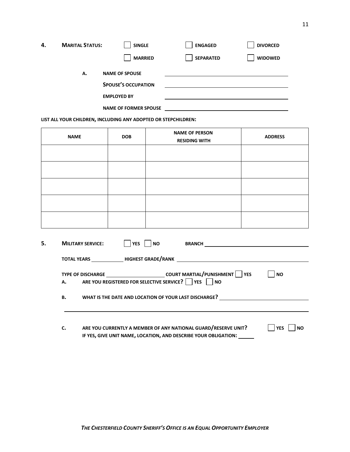| <b>MARITAL STATUS:</b><br>4.                                                     |  | <b>SINGLE</b>         | <b>ENGAGED</b>   | <b>DIVORCED</b> |
|----------------------------------------------------------------------------------|--|-----------------------|------------------|-----------------|
|                                                                                  |  | <b>MARRIED</b>        | <b>SEPARATED</b> | <b>WIDOWED</b>  |
| А.                                                                               |  | <b>NAME OF SPOUSE</b> |                  |                 |
| <b>SPOUSE'S OCCUPATION</b><br><b>EMPLOYED BY</b><br><b>NAME OF FORMER SPOUSE</b> |  |                       |                  |                 |
|                                                                                  |  |                       |                  |                 |
|                                                                                  |  |                       |                  |                 |

**LIST ALL YOUR CHILDREN, INCLUDING ANY ADOPTED OR STEPCHILDREN:**

| <b>NAME</b> | <b>DOB</b> | <b>NAME OF PERSON</b><br><b>RESIDING WITH</b> | <b>ADDRESS</b> |
|-------------|------------|-----------------------------------------------|----------------|
|             |            |                                               |                |
|             |            |                                               |                |
|             |            |                                               |                |
|             |            |                                               |                |
|             |            |                                               |                |

| 5. |    | <b>MILITARY SERVICE:</b><br><b>YES</b><br>NΟ<br><b>BRANCH</b>                                                                            |                         |
|----|----|------------------------------------------------------------------------------------------------------------------------------------------|-------------------------|
|    |    |                                                                                                                                          |                         |
|    |    | TYPE OF DISCHARGE _________________________________COURT MARTIAL/PUNISHMENT   YES<br>A. ARE YOU REGISTERED FOR SELECTIVE SERVICE? VES NO | <b>NO</b>               |
|    | в. | WHAT IS THE DATE AND LOCATION OF YOUR LAST DISCHARGE?                                                                                    |                         |
|    | c. | ARE YOU CURRENTLY A MEMBER OF ANY NATIONAL GUARD/RESERVE UNIT?<br>IF YES, GIVE UNIT NAME, LOCATION, AND DESCRIBE YOUR OBLIGATION:        | <b>YES</b><br><b>NO</b> |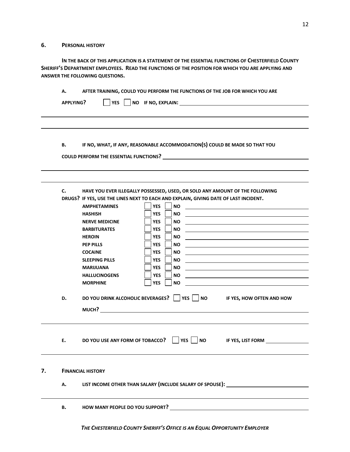#### **6. PERSONAL HISTORY**

**IN THE BACK OF THIS APPLICATION IS A STATEMENT OF THE ESSENTIAL FUNCTIONS OF CHESTERFIELD COUNTY SHERIFF'S DEPARTMENT EMPLOYEES. READ THE FUNCTIONS OF THE POSITION FOR WHICH YOU ARE APPLYING AND ANSWER THE FOLLOWING QUESTIONS.**

| А. |                                 | AFTER TRAINING, COULD YOU PERFORM THE FUNCTIONS OF THE JOB FOR WHICH YOU ARE         |
|----|---------------------------------|--------------------------------------------------------------------------------------|
|    | APPLYING?<br>$YES$              | NO IF NO, EXPLAIN:                                                                   |
|    |                                 |                                                                                      |
|    |                                 |                                                                                      |
|    |                                 |                                                                                      |
| в. |                                 | IF NO, WHAT, IF ANY, REASONABLE ACCOMMODATION(S) COULD BE MADE SO THAT YOU           |
|    |                                 |                                                                                      |
|    |                                 |                                                                                      |
|    |                                 |                                                                                      |
| c. |                                 | HAVE YOU EVER ILLEGALLY POSSESSED, USED, OR SOLD ANY AMOUNT OF THE FOLLOWING         |
|    |                                 | DRUGS? IF YES, USE THE LINES NEXT TO EACH AND EXPLAIN, GIVING DATE OF LAST INCIDENT. |
|    | <b>AMPHETAMINES</b>             | <b>YES</b><br><b>NO</b>                                                              |
|    | <b>HASHISH</b>                  | <b>YES</b><br><b>NO</b>                                                              |
|    | <b>NERVE MEDICINE</b>           | <b>YES</b><br><b>NO</b>                                                              |
|    | <b>BARBITURATES</b>             | <b>YES</b><br><b>NO</b>                                                              |
|    | <b>HEROIN</b>                   | <b>YES</b><br>NO.                                                                    |
|    | <b>PEP PILLS</b>                | <b>YES</b><br><b>NO</b>                                                              |
|    | <b>COCAINE</b>                  | <b>YES</b><br>NO.                                                                    |
|    | <b>SLEEPING PILLS</b>           | <b>YES</b><br><b>NO</b>                                                              |
|    | <b>MARIJUANA</b>                | <b>YES</b><br>NO.                                                                    |
|    | <b>HALLUCINOGENS</b>            | <b>NO</b><br><b>YES</b>                                                              |
|    | <b>MORPHINE</b>                 | <b>YES</b><br><b>NO</b>                                                              |
| D. |                                 | DO YOU DRINK ALCOHOLIC BEVERAGES?     YES     NO<br>IF YES, HOW OFTEN AND HOW        |
|    |                                 |                                                                                      |
|    |                                 | MUCH?                                                                                |
|    |                                 |                                                                                      |
| Ε. | DO YOU USE ANY FORM OF TOBACCO? | YES  <br><b>NO</b><br>IF YES, LIST FORM                                              |
|    |                                 |                                                                                      |
|    |                                 |                                                                                      |
|    | <b>FINANCIAL HISTORY</b>        |                                                                                      |
| А. |                                 | LIST INCOME OTHER THAN SALARY (INCLUDE SALARY OF SPOUSE): ______________________     |
|    |                                 |                                                                                      |

**B. HOW MANY PEOPLE DO YOU SUPPORT?**

*THE CHESTERFIELD COUNTY SHERIFF'S OFFICE IS AN EQUAL OPPORTUNITY EMPLOYER*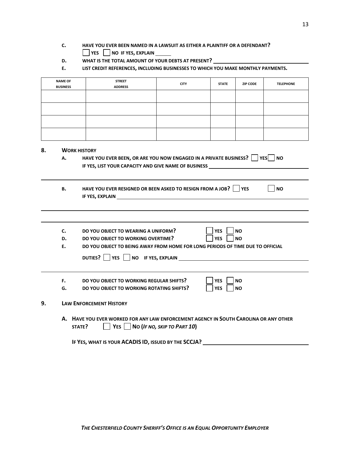- **C. HAVE YOU EVER BEEN NAMED IN A LAWSUIT AS EITHER A PLAINTIFF OR A DEFENDANT? YES NO IF YES, EXPLAIN**
- **D. WHAT IS THE TOTAL AMOUNT OF YOUR DEBTS AT PRESENT?**
- **E. LIST CREDIT REFERENCES, INCLUDING BUSINESSES TO WHICH YOU MAKE MONTHLY PAYMENTS.**

|    | <b>NAME OF</b><br><b>BUSINESS</b> | <b>STREET</b><br><b>ADDRESS</b>                                                                                                                                                                                                                                                                  | <b>CITY</b> | <b>STATE</b> | <b>ZIP CODE</b> | <b>TELEPHONE</b> |  |  |  |
|----|-----------------------------------|--------------------------------------------------------------------------------------------------------------------------------------------------------------------------------------------------------------------------------------------------------------------------------------------------|-------------|--------------|-----------------|------------------|--|--|--|
|    |                                   |                                                                                                                                                                                                                                                                                                  |             |              |                 |                  |  |  |  |
|    |                                   |                                                                                                                                                                                                                                                                                                  |             |              |                 |                  |  |  |  |
|    |                                   |                                                                                                                                                                                                                                                                                                  |             |              |                 |                  |  |  |  |
|    |                                   |                                                                                                                                                                                                                                                                                                  |             |              |                 |                  |  |  |  |
|    |                                   |                                                                                                                                                                                                                                                                                                  |             |              |                 |                  |  |  |  |
| 8. |                                   | <b>WORK HISTORY</b>                                                                                                                                                                                                                                                                              |             |              |                 |                  |  |  |  |
|    |                                   | HAVE YOU EVER BEEN, OR ARE YOU NOW ENGAGED IN A PRIVATE BUSINESS?   YES   NO<br>А.                                                                                                                                                                                                               |             |              |                 |                  |  |  |  |
|    |                                   |                                                                                                                                                                                                                                                                                                  |             |              |                 |                  |  |  |  |
|    |                                   | IF YES, LIST YOUR CAPACITY AND GIVE NAME OF BUSINESS                                                                                                                                                                                                                                             |             |              |                 |                  |  |  |  |
|    |                                   |                                                                                                                                                                                                                                                                                                  |             |              |                 |                  |  |  |  |
|    | В.                                |                                                                                                                                                                                                                                                                                                  |             |              |                 | <b>NO</b>        |  |  |  |
|    |                                   | HAVE YOU EVER RESIGNED OR BEEN ASKED TO RESIGN FROM A JOB? VES<br>IF YES, EXPLAIN THE RESIDENCE OF THE RESIDENCE OF THE RESIDENCE OF THE RESIDENCE OF THE RESIDENCE OF THE RESIDENCE OF THE RESIDENCE OF THE RESIDENCE OF THE RESIDENCE OF THE RESIDENCE OF THE RESIDENCE OF THE RESIDENCE OF TH |             |              |                 |                  |  |  |  |
|    |                                   |                                                                                                                                                                                                                                                                                                  |             |              |                 |                  |  |  |  |
|    |                                   |                                                                                                                                                                                                                                                                                                  |             |              |                 |                  |  |  |  |
|    | c.                                | DO YOU OBJECT TO WEARING A UNIFORM?                                                                                                                                                                                                                                                              |             | <b>YES</b>   | <b>NO</b>       |                  |  |  |  |
|    | D.                                | DO YOU OBJECT TO WORKING OVERTIME?                                                                                                                                                                                                                                                               |             | <b>YES</b>   | <b>NO</b>       |                  |  |  |  |

**DUTIES?**  $\Box$  YES  $\Box$  NO IF YES, EXPLAIN

**F.** DO YOU OBJECT TO WORKING REGULAR SHIFTS?  $\Box$  YES  $\Box$  NO<br>**G**. DO YOU OBJECT TO WORKING ROTATING SHIFTS?  $\Box$  YES  $\Box$  NO **G. DO YOU OBJECT TO WORKING ROTATING SHIFTS? YES NO**

#### **9. LAW ENFORCEMENT HISTORY**

**A. HAVE YOU EVER WORKED FOR ANY LAW ENFORCEMENT AGENCY IN SOUTH CAROLINA OR ANY OTHER STATE? YES NO (***IF NO, SKIP TO PART 10***)**

**IF YES, WHAT IS YOUR ACADIS ID, ISSUED BY THE SCCJA?**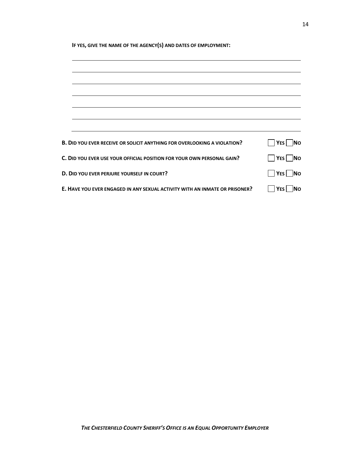| IF YES, GIVE THE NAME OF THE AGENCY(S) AND DATES OF EMPLOYMENT:                 |                          |  |  |  |
|---------------------------------------------------------------------------------|--------------------------|--|--|--|
|                                                                                 |                          |  |  |  |
|                                                                                 |                          |  |  |  |
|                                                                                 |                          |  |  |  |
|                                                                                 |                          |  |  |  |
|                                                                                 |                          |  |  |  |
|                                                                                 |                          |  |  |  |
|                                                                                 |                          |  |  |  |
|                                                                                 |                          |  |  |  |
| <b>B. DID YOU EVER RECEIVE OR SOLICIT ANYTHING FOR OVERLOOKING A VIOLATION?</b> | <b>No</b><br>$ Y$ ES $ $ |  |  |  |
| C. DID YOU EVER USE YOUR OFFICIAL POSITION FOR YOUR OWN PERSONAL GAIN?          | $ YES $ No               |  |  |  |
| D. DID YOU EVER PERJURE YOURSELF IN COURT?                                      | $ YES $ No               |  |  |  |
| E. HAVE YOU EVER ENGAGED IN ANY SEXUAL ACTIVITY WITH AN INMATE OR PRISONER?     | <b>INO</b><br>YES I      |  |  |  |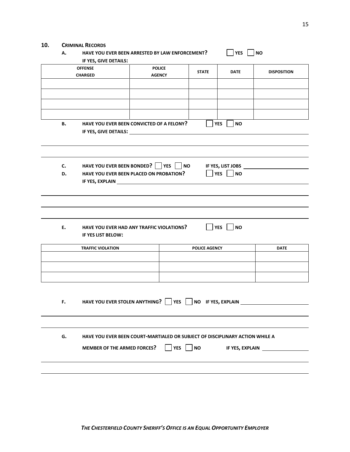### **10. CRIMINAL RECORDS**

| А. | IF YES, GIVE DETAILS:              | HAVE YOU EVER BEEN ARRESTED BY LAW ENFORCEMENT?                              |                                  | <b>YES</b>              | <b>NO</b>          |
|----|------------------------------------|------------------------------------------------------------------------------|----------------------------------|-------------------------|--------------------|
|    | <b>OFFENSE</b><br><b>CHARGED</b>   | <b>POLICE</b><br><b>AGENCY</b>                                               | <b>STATE</b>                     | <b>DATE</b>             | <b>DISPOSITION</b> |
|    |                                    |                                                                              |                                  |                         |                    |
|    |                                    |                                                                              |                                  |                         |                    |
| в. |                                    | HAVE YOU EVER BEEN CONVICTED OF A FELONY?                                    |                                  | <b>YES</b><br><b>NO</b> |                    |
|    |                                    | IF YES, GIVE DETAILS: _______________                                        |                                  |                         |                    |
|    |                                    |                                                                              |                                  |                         |                    |
| c. | HAVE YOU EVER BEEN BONDED?         | <b>YES</b>                                                                   | NO                               | IF YES, LIST JOBS       |                    |
| D. |                                    | HAVE YOU EVER BEEN PLACED ON PROBATION?                                      |                                  | <b>YES</b><br><b>NO</b> |                    |
|    |                                    |                                                                              |                                  |                         |                    |
|    |                                    |                                                                              |                                  |                         |                    |
| Ε. | IF YES LIST BELOW:                 | HAVE YOU EVER HAD ANY TRAFFIC VIOLATIONS?                                    |                                  | YES<br><b>NO</b>        |                    |
|    | <b>TRAFFIC VIOLATION</b>           |                                                                              | <b>POLICE AGENCY</b>             |                         | <b>DATE</b>        |
|    |                                    |                                                                              |                                  |                         |                    |
|    |                                    |                                                                              |                                  |                         |                    |
|    |                                    |                                                                              |                                  |                         |                    |
| F. |                                    | HAVE YOU EVER STOLEN ANYTHING?                                               | <b>YES</b><br>NO IF YES, EXPLAIN |                         |                    |
|    |                                    |                                                                              |                                  |                         |                    |
|    |                                    |                                                                              |                                  |                         |                    |
| G. |                                    | HAVE YOU EVER BEEN COURT-MARTIALED OR SUBJECT OF DISCIPLINARY ACTION WHILE A |                                  |                         |                    |
|    | <b>MEMBER OF THE ARMED FORCES?</b> |                                                                              | <b>NO</b><br><b>YES</b>          |                         | IF YES, EXPLAIN    |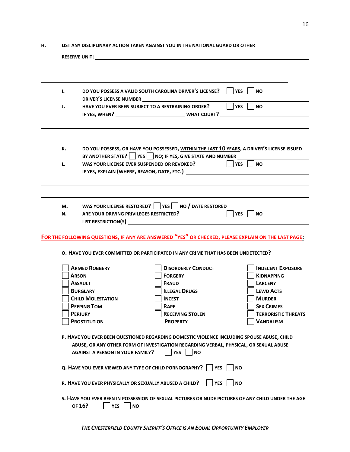#### **H. LIST ANY DISCIPLINARY ACTION TAKEN AGAINST YOU IN THE NATIONAL GUARD OR OTHER**

|    | RESERVE UNIT: The contract of the contract of the contract of the contract of the contract of the contract of the contract of the contract of the contract of the contract of the contract of the contract of the contract of                                             |                                                                                                                                                                                          |                                                                                                    |  |  |  |
|----|---------------------------------------------------------------------------------------------------------------------------------------------------------------------------------------------------------------------------------------------------------------------------|------------------------------------------------------------------------------------------------------------------------------------------------------------------------------------------|----------------------------------------------------------------------------------------------------|--|--|--|
|    |                                                                                                                                                                                                                                                                           |                                                                                                                                                                                          |                                                                                                    |  |  |  |
|    |                                                                                                                                                                                                                                                                           |                                                                                                                                                                                          |                                                                                                    |  |  |  |
| ı. |                                                                                                                                                                                                                                                                           | DO YOU POSSESS A VALID SOUTH CAROLINA DRIVER'S LICENSE? □ YES □ NO                                                                                                                       |                                                                                                    |  |  |  |
| J. | HAVE YOU EVER BEEN SUBJECT TO A RESTRAINING ORDER?                                                                                                                                                                                                                        |                                                                                                                                                                                          | $\overline{\Box}$ YES<br><b>NO</b>                                                                 |  |  |  |
|    |                                                                                                                                                                                                                                                                           |                                                                                                                                                                                          |                                                                                                    |  |  |  |
|    |                                                                                                                                                                                                                                                                           |                                                                                                                                                                                          |                                                                                                    |  |  |  |
| к. |                                                                                                                                                                                                                                                                           | DO YOU POSSESS, OR HAVE YOU POSSESSED, WITHIN THE LAST 10 YEARS, A DRIVER'S LICENSE ISSUED<br>BY ANOTHER STATE?   YES   NO; IF YES, GIVE STATE AND NUMBER                                |                                                                                                    |  |  |  |
| L. |                                                                                                                                                                                                                                                                           | WAS YOUR LICENSE EVER SUSPENDED OR REVOKED?                                                                                                                                              | $ $   YES     NO                                                                                   |  |  |  |
|    |                                                                                                                                                                                                                                                                           | IF YES, EXPLAIN (WHERE, REASON, DATE, ETC.)                                                                                                                                              |                                                                                                    |  |  |  |
|    |                                                                                                                                                                                                                                                                           |                                                                                                                                                                                          |                                                                                                    |  |  |  |
|    |                                                                                                                                                                                                                                                                           |                                                                                                                                                                                          |                                                                                                    |  |  |  |
| М. |                                                                                                                                                                                                                                                                           | WAS YOUR LICENSE RESTORED? $\Box$ YES $\Box$ NO / DATE RESTORED                                                                                                                          |                                                                                                    |  |  |  |
| N. | ARE YOUR DRIVING PRIVILEGES RESTRICTED?<br>LIST RESTRICTION(S) NAMEL AND RESERVE TO A RESERVE THE RESERVE TO A RESERVE THE RESERVE TO A RESERVE THE RESERVE THAT A RESERVE THAT A RESERVE THAT A RESERVE THAT A RESERVE THAT A RESERVE THAT A RESERVE THAT A RESERVE THAT |                                                                                                                                                                                          | <b>YES</b><br>NO                                                                                   |  |  |  |
|    |                                                                                                                                                                                                                                                                           | FOR THE FOLLOWING QUESTIONS, IF ANY ARE ANSWERED "YES" OR CHECKED, PLEASE EXPLAIN ON THE LAST PAGE:<br>O. HAVE YOU EVER COMMITTED OR PARTICIPATED IN ANY CRIME THAT HAS BEEN UNDETECTED? |                                                                                                    |  |  |  |
|    | <b>ARMED ROBBERY</b>                                                                                                                                                                                                                                                      | <b>DISORDERLY CONDUCT</b>                                                                                                                                                                | <b>INDECENT EXPOSURE</b>                                                                           |  |  |  |
|    | <b>ARSON</b>                                                                                                                                                                                                                                                              | <b>FORGERY</b>                                                                                                                                                                           | <b>KIDNAPPING</b>                                                                                  |  |  |  |
|    | <b>ASSAULT</b>                                                                                                                                                                                                                                                            | <b>FRAUD</b>                                                                                                                                                                             | <b>LARCENY</b>                                                                                     |  |  |  |
|    | <b>BURGLARY</b>                                                                                                                                                                                                                                                           | <b>ILLEGAL DRUGS</b>                                                                                                                                                                     | <b>LEWD ACTS</b>                                                                                   |  |  |  |
|    | <b>CHILD MOLESTATION</b>                                                                                                                                                                                                                                                  | <b>INCEST</b>                                                                                                                                                                            | <b>MURDER</b>                                                                                      |  |  |  |
|    | <b>PEEPING TOM</b>                                                                                                                                                                                                                                                        | <b>RAPE</b>                                                                                                                                                                              | <b>SEX CRIMES</b>                                                                                  |  |  |  |
|    | <b>PERJURY</b><br><b>PROSTITUTION</b>                                                                                                                                                                                                                                     | <b>RECEIVING STOLEN</b><br><b>PROPERTY</b>                                                                                                                                               | <b>TERRORISTIC THREATS</b><br><b>VANDALISM</b>                                                     |  |  |  |
|    |                                                                                                                                                                                                                                                                           |                                                                                                                                                                                          |                                                                                                    |  |  |  |
|    | P. HAVE YOU EVER BEEN QUESTIONED REGARDING DOMESTIC VIOLENCE INCLUDING SPOUSE ABUSE, CHILD<br>ABUSE, OR ANY OTHER FORM OF INVESTIGATION REGARDING VERBAL, PHYSICAL, OR SEXUAL ABUSE<br><b>YES</b><br><b>AGAINST A PERSON IN YOUR FAMILY?</b><br>NO                        |                                                                                                                                                                                          |                                                                                                    |  |  |  |
|    | Q. HAVE YOU EVER VIEWED ANY TYPE OF CHILD PORNOGRAPHY?     YES  <br><b>NO</b>                                                                                                                                                                                             |                                                                                                                                                                                          |                                                                                                    |  |  |  |
|    | R. HAVE YOU EVER PHYSICALLY OR SEXUALLY ABUSED A CHILD?                                                                                                                                                                                                                   | <b>YES</b>                                                                                                                                                                               | <b>NO</b>                                                                                          |  |  |  |
|    |                                                                                                                                                                                                                                                                           |                                                                                                                                                                                          | S. HAVE YOU EVER BEEN IN POSSESSION OF SEXUAL PICTURES OR NUDE PICTURES OF ANY CHILD UNDER THE AGE |  |  |  |
|    | OF 16?<br><b>YES</b><br><b>NO</b>                                                                                                                                                                                                                                         |                                                                                                                                                                                          |                                                                                                    |  |  |  |

*THE CHESTERFIELD COUNTY SHERIFF'S OFFICE IS AN EQUAL OPPORTUNITY EMPLOYER*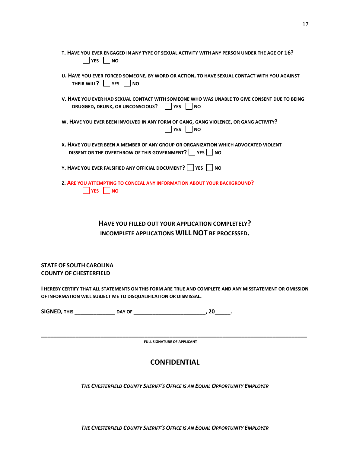| T. HAVE YOU EVER ENGAGED IN ANY TYPE OF SEXUAL ACTIVITY WITH ANY PERSON UNDER THE AGE OF 16?<br><b>YES</b><br><b>NO</b>                                    |
|------------------------------------------------------------------------------------------------------------------------------------------------------------|
| U. HAVE YOU EVER FORCED SOMEONE, BY WORD OR ACTION, TO HAVE SEXUAL CONTACT WITH YOU AGAINST<br>THEIR WILL?<br><b>YES</b><br>  NO                           |
| V. HAVE YOU EVER HAD SEXUAL CONTACT WITH SOMEONE WHO WAS UNABLE TO GIVE CONSENT DUE TO BEING<br>DRUGGED, DRUNK, OR UNCONSCIOUS?<br><b>YES</b><br><b>NO</b> |
| W. HAVE YOU EVER BEEN INVOLVED IN ANY FORM OF GANG, GANG VIOLENCE, OR GANG ACTIVITY?<br><b>YES</b><br><b>NO</b>                                            |
| X. HAVE YOU EVER BEEN A MEMBER OF ANY GROUP OR ORGANIZATION WHICH ADVOCATED VIOLENT<br>DISSENT OR THE OVERTHROW OF THIS GOVERNMENT?   YES NO               |
| Y. HAVE YOU EVER FALSIFIED ANY OFFICIAL DOCUMENT?     YES<br>l INO                                                                                         |
| <b>Z. ARE YOU ATTEMPTING TO CONCEAL ANY INFORMATION ABOUT YOUR BACKGROUND?</b><br><b>NO</b>                                                                |

## **HAVE YOU FILLED OUT YOUR APPLICATION COMPLETELY? INCOMPLETE APPLICATIONS WILL NOT BE PROCESSED.**

#### **STATE OF SOUTH CAROLINA COUNTY OF CHESTERFIELD**

**I HEREBY CERTIFY THAT ALL STATEMENTS ON THIS FORM ARE TRUE AND COMPLETE AND ANY MISSTATEMENT OR OMISSION OF INFORMATION WILL SUBJECT ME TO DISQUALIFICATION OR DISMISSAL.**

**SIGNED, THIS \_\_\_\_\_\_\_\_\_\_\_\_\_ DAY OF \_\_\_\_\_\_\_\_\_\_\_\_\_\_\_\_\_\_\_\_\_\_\_, 20\_\_\_\_\_.** 

**\_\_\_\_\_\_\_\_\_\_\_\_\_\_\_\_\_\_\_\_\_\_\_\_\_\_\_\_\_\_\_\_\_\_\_\_\_\_\_\_\_\_\_\_\_\_\_\_\_\_\_\_\_\_\_\_\_\_\_\_\_\_\_\_\_\_\_\_\_\_\_\_\_\_\_\_\_\_\_\_\_\_\_\_\_ FULL SIGNATURE OF APPLICANT**

## **CONFIDENTIAL**

*THE CHESTERFIELD COUNTY SHERIFF'S OFFICE IS AN EQUAL OPPORTUNITY EMPLOYER*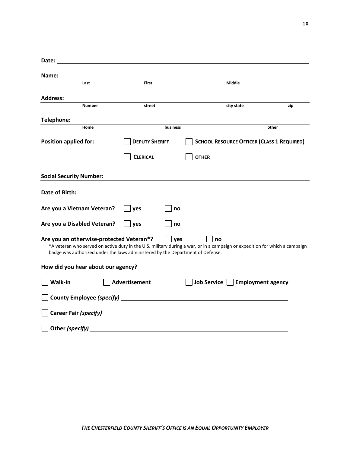| Date:                                                                                                                      |                                                                    |                                                                                                                                                                                                                                      |       |
|----------------------------------------------------------------------------------------------------------------------------|--------------------------------------------------------------------|--------------------------------------------------------------------------------------------------------------------------------------------------------------------------------------------------------------------------------------|-------|
| Name:                                                                                                                      |                                                                    |                                                                                                                                                                                                                                      |       |
| Last                                                                                                                       | <b>First</b>                                                       | Middle                                                                                                                                                                                                                               |       |
| <b>Address:</b>                                                                                                            |                                                                    |                                                                                                                                                                                                                                      |       |
| <b>Number</b>                                                                                                              | street                                                             | city state                                                                                                                                                                                                                           | zip   |
| Telephone:                                                                                                                 |                                                                    |                                                                                                                                                                                                                                      |       |
| Home                                                                                                                       | business                                                           |                                                                                                                                                                                                                                      | other |
| <b>Position applied for:</b>                                                                                               | <b>DEPUTY SHERIFF</b>                                              | <b>SCHOOL RESOURCE OFFICER (CLASS 1 REQUIRED)</b>                                                                                                                                                                                    |       |
|                                                                                                                            | <b>CLERICAL</b>                                                    | OTHER <b>CONTRACT CONTRACT CONTRACT CONTRACT CONTRACT CONTRACT CONTRACT CONTRACT CONTRACT CONTRACT CONTRACT CONTRACT CONTRACT CONTRACT CONTRACT CONTRACT CONTRACT CONTRACT CONTRACT CONTRACT CONTRACT CONTRACT CONTRACT CONTRACT</b> |       |
| <b>Social Security Number:</b>                                                                                             |                                                                    |                                                                                                                                                                                                                                      |       |
| <b>Date of Birth:</b>                                                                                                      |                                                                    |                                                                                                                                                                                                                                      |       |
| Are you a Vietnam Veteran?                                                                                                 | yes<br>no                                                          |                                                                                                                                                                                                                                      |       |
| Are you a Disabled Veteran?                                                                                                | yes<br>no                                                          |                                                                                                                                                                                                                                      |       |
| Are you an otherwise-protected Veteran*?<br>badge was authorized under the laws administered by the Department of Defense. | <b>ves</b>                                                         | no<br>*A veteran who served on active duty in the U.S. military during a war, or in a campaign or expedition for which a campaign                                                                                                    |       |
| How did you hear about our agency?                                                                                         |                                                                    |                                                                                                                                                                                                                                      |       |
| Walk-in                                                                                                                    | <b>Advertisement</b>                                               | <b>Employment agency</b><br>Job Service                                                                                                                                                                                              |       |
|                                                                                                                            |                                                                    |                                                                                                                                                                                                                                      |       |
|                                                                                                                            |                                                                    |                                                                                                                                                                                                                                      |       |
| Other (specify)                                                                                                            | <u> 1980 - Jan Samuel Barbara, margaret eta idazlea (h. 1980).</u> |                                                                                                                                                                                                                                      |       |